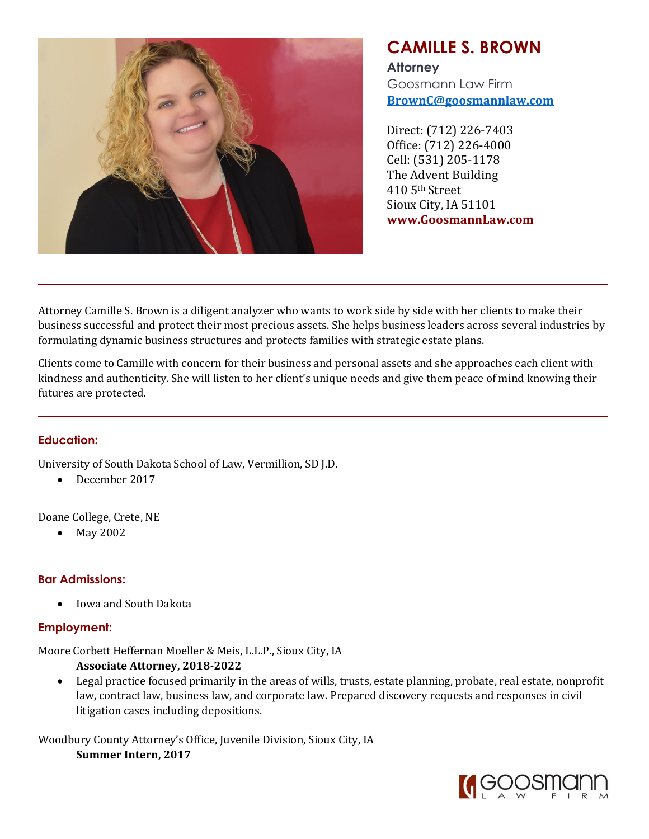

# **CAMILLE S. BROWN**

**Attorney** Goosmann Law Firm **[BrownC@goosmannlaw.com](mailto:BrownC@goosmannlaw.com)**

Direct: (712) 226-7403 Office: (712) 226-4000 Cell: (531) 205-1178 The Advent Building 410 5th Street Sioux City, IA 51101 **[www.GoosmannLaw.com](http://www.goosmannlaw.com/)**

Attorney Camille S. Brown is a diligent analyzer who wants to work side by side with her clients to make their business successful and protect their most precious assets. She helps business leaders across several industries by formulating dynamic business structures and protects families with strategic estate plans.

Clients come to Camille with concern for their business and personal assets and she approaches each client with kindness and authenticity. She will listen to her client's unique needs and give them peace of mind knowing their futures are protected.

## **Education:**

University of South Dakota School of Law, Vermillion, SD J.D.

• December 2017

Doane College, Crete, NE

• May 2002

## **Bar Admissions:**

• Iowa and South Dakota

## **Employment:**

Moore Corbett Heffernan Moeller & Meis, L.L.P., Sioux City, IA

- **Associate Attorney, 2018-2022**
- Legal practice focused primarily in the areas of wills, trusts, estate planning, probate, real estate, nonprofit law, contract law, business law, and corporate law. Prepared discovery requests and responses in civil litigation cases including depositions.

Woodbury County Attorney's Office, Juvenile Division, Sioux City, IA **Summer Intern, 2017**